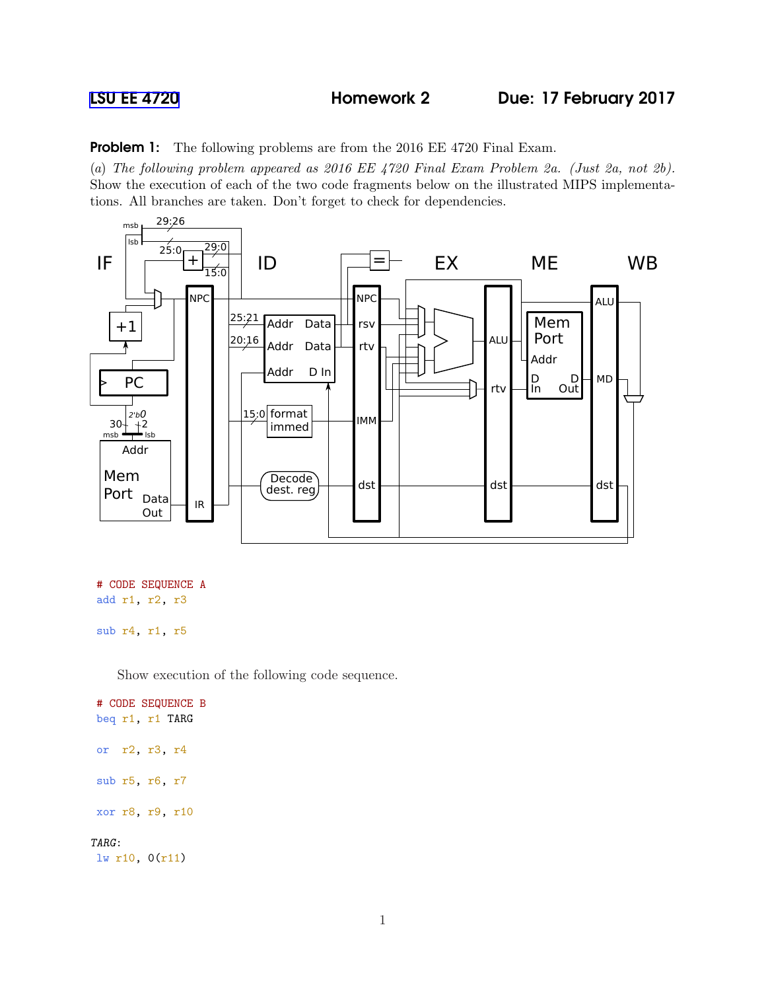**Problem 1:** The following problems are from the 2016 EE 4720 Final Exam.

(a) The following problem appeared as 2016 EE 4720 Final Exam Problem 2a. (Just 2a, not 2b). Show the execution of each of the two code fragments below on the illustrated MIPS implementations. All branches are taken. Don't forget to check for dependencies.



```
# CODE SEQUENCE A
add r1, r2, r3
```
sub r4, r1, r5

Show execution of the following code sequence.

# CODE SEQUENCE B beq r1, r1 TARG or r2, r3, r4 sub r5, r6, r7 xor r8, r9, r10 TARG: lw r10, 0(r11)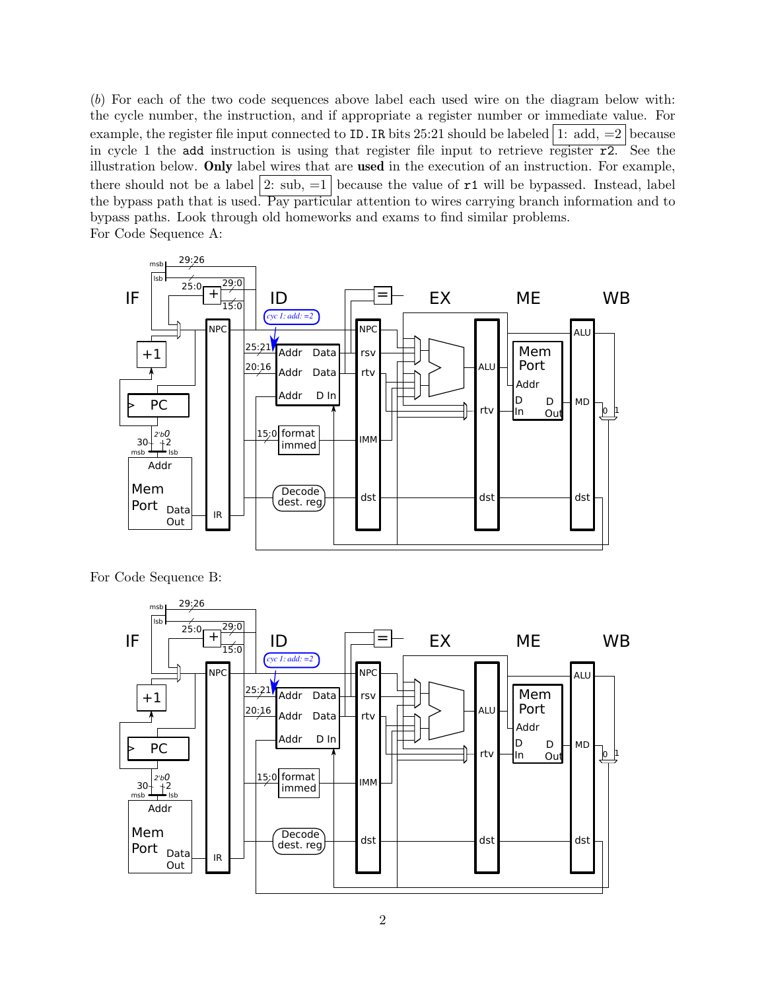(b) For each of the two code sequences above label each used wire on the diagram below with: the cycle number, the instruction, and if appropriate a register number or immediate value. For example, the register file input connected to ID. IR bits 25:21 should be labeled 1: add,  $=2$  because in cycle 1 the add instruction is using that register file input to retrieve register  $\overline{r2}$ . See the illustration below. Only label wires that are used in the execution of an instruction. For example, there should not be a label  $|2:$  sub,  $=1$  because the value of  $r1$  will be bypassed. Instead, label the bypass path that is used. Pay particular attention to wires carrying branch information and to bypass paths. Look through old homeworks and exams to find similar problems. For Code Sequence A:



For Code Sequence B: